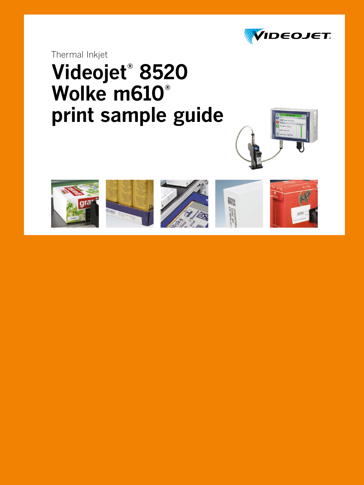

Thermal Inkjet

# **Videojet® 8520 Wolke m610® print sample guide**











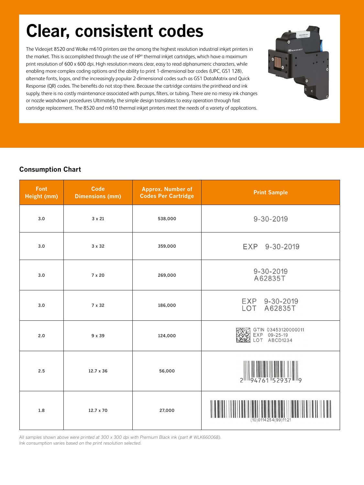### **Clear, consistent codes**

The Videojet 8520 and Wolke m610 printers are the among the highest resolution industrial inkjet printers in the market. This is accomplished through the use of HP® thermal inkjet cartridges, which have a maximum print resolution of 600 x 600 dpi. High resolution means clear, easy to read alphanumeric characters, while enabling more complex coding options and the ability to print 1-dimensional bar codes (UPC, GS1 128), alternate fonts, logos, and the increasingly popular 2-dimensional codes such as GS1 DataMatrix and Quick Response (QR) codes. The benefits do not stop there. Because the cartridge contains the printhead and ink supply, there is no costly maintenance associated with pumps, filters, or tubing. There are no messy ink changes or nozzle washdown procedures Ultimately, the simple design translates to easy operation through fast cartridge replacement. The 8520 and m610 thermal inkjet printers meet the needs of a variety of applications.



### **Consumption Chart**

| Font<br>Height (mm) | <b>Code</b><br><b>Dimensions (mm)</b> | <b>Approx. Number of</b><br><b>Codes Per Cartridge</b> | <b>Print Sample</b>                                             |  |
|---------------------|---------------------------------------|--------------------------------------------------------|-----------------------------------------------------------------|--|
| 3.0                 | 3 x 21                                | 538,000                                                | $9 - 30 - 2019$                                                 |  |
| 3.0                 | 3 x 32                                | 359,000                                                | EXP 9-30-2019                                                   |  |
| 3.0                 | 7 x 20                                | 269,000                                                | $9 - 30 - 2019$<br>A62835T                                      |  |
| 3.0                 | 7 x 32                                | 186,000                                                | EXP 9-30-2019<br>LOT A62835T                                    |  |
| 2.0                 | 9 x 39                                | 124,000                                                | GTIN 03453120000011<br>09-25-19<br><b>EXP</b><br>ABCD1234<br>OT |  |
| 2.5                 | $12.7 \times 36$                      | 56,000                                                 | $2^{\parallel}$<br>94761 5<br>II IIq                            |  |
| 1.8                 | $12.7 \times 70$                      | 27,000                                                 | (10) 0114 254 (99) 11:21                                        |  |

*All samples shown above were printed at 300 x 300 dpi with Premium Black ink (part # WLK660068). Ink consumption varies based on the print resolution selected.*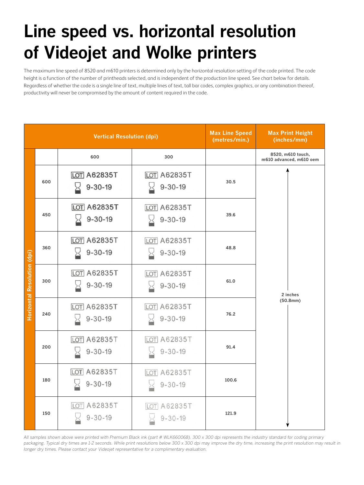## **Line speed vs. horizontal resolution of Videojet and Wolke printers**

The maximum line speed of 8520 and m610 printers is determined only by the horizontal resolution setting of the code printed. The code height is a function of the number of printheads selected, and is independent of the production line speed. See chart below for details. Regardless of whether the code is a single line of text, multiple lines of text, tall bar codes, complex graphics, or any combination thereof, productivity will never be compromised by the amount of content required in the code.

| <b>Vertical Resolution (dpi)</b> |     |                                     | <b>Max Line Speed</b><br>(metres/min.) | <b>Max Print Height</b><br>(inches/mm) |                                              |
|----------------------------------|-----|-------------------------------------|----------------------------------------|----------------------------------------|----------------------------------------------|
|                                  |     | 600                                 | 300                                    |                                        | 8520, m610 touch,<br>m610 advanced, m610 oem |
| Horizontal Resolution (dpi)      | 600 | <b>LOT A62835T</b><br>$9 - 30 - 19$ | <b>LOT A62835T</b><br>$9 - 30 - 19$    | 30.5                                   |                                              |
|                                  | 450 | <b>LOT A62835T</b><br>$9 - 30 - 19$ | <b>LOT A62835T</b><br>$9 - 30 - 19$    | 39.6                                   | 2 inches<br>(50.8mm)                         |
|                                  | 360 | <b>LOT A62835T</b><br>$9 - 30 - 19$ | <b>LOT A62835T</b><br>$9 - 30 - 19$    | 48.8                                   |                                              |
|                                  | 300 | <b>LOT A62835T</b><br>$9 - 30 - 19$ | <b>LOT A62835T</b><br>$9 - 30 - 19$    | 61.0                                   |                                              |
|                                  | 240 | <b>LOT A62835T</b><br>$9 - 30 - 19$ | <b>LOT A62835T</b><br>$9 - 30 - 19$    | 76.2                                   |                                              |
|                                  | 200 | LOT A62835T<br>$9 - 30 - 19$        | <b>LOT A62835T</b><br>$9 - 30 - 19$    | 91.4                                   |                                              |
|                                  | 180 | LOT A62835T<br>$9 - 30 - 19$        | <b>LOT A62835T</b><br>$9 - 30 - 19$    | 100.6                                  |                                              |
|                                  | 150 | A62835T<br>LOTI<br>$9 - 30 - 19$    | A62835T<br>10T<br>$9 - 30 - 19$        | 121.9                                  |                                              |

*All samples shown above were printed with Premium Black ink (part # WLK660068). 300 x 300 dpi represents the industry standard for coding primary packaging. Typical dry times are 1-2 seconds. While print resolutions below 300 x 300 dpi may improve the dry time, increasing the print resolution may result in longer dry times. Please contact your Videojet representative for a complimentary evaluation.*